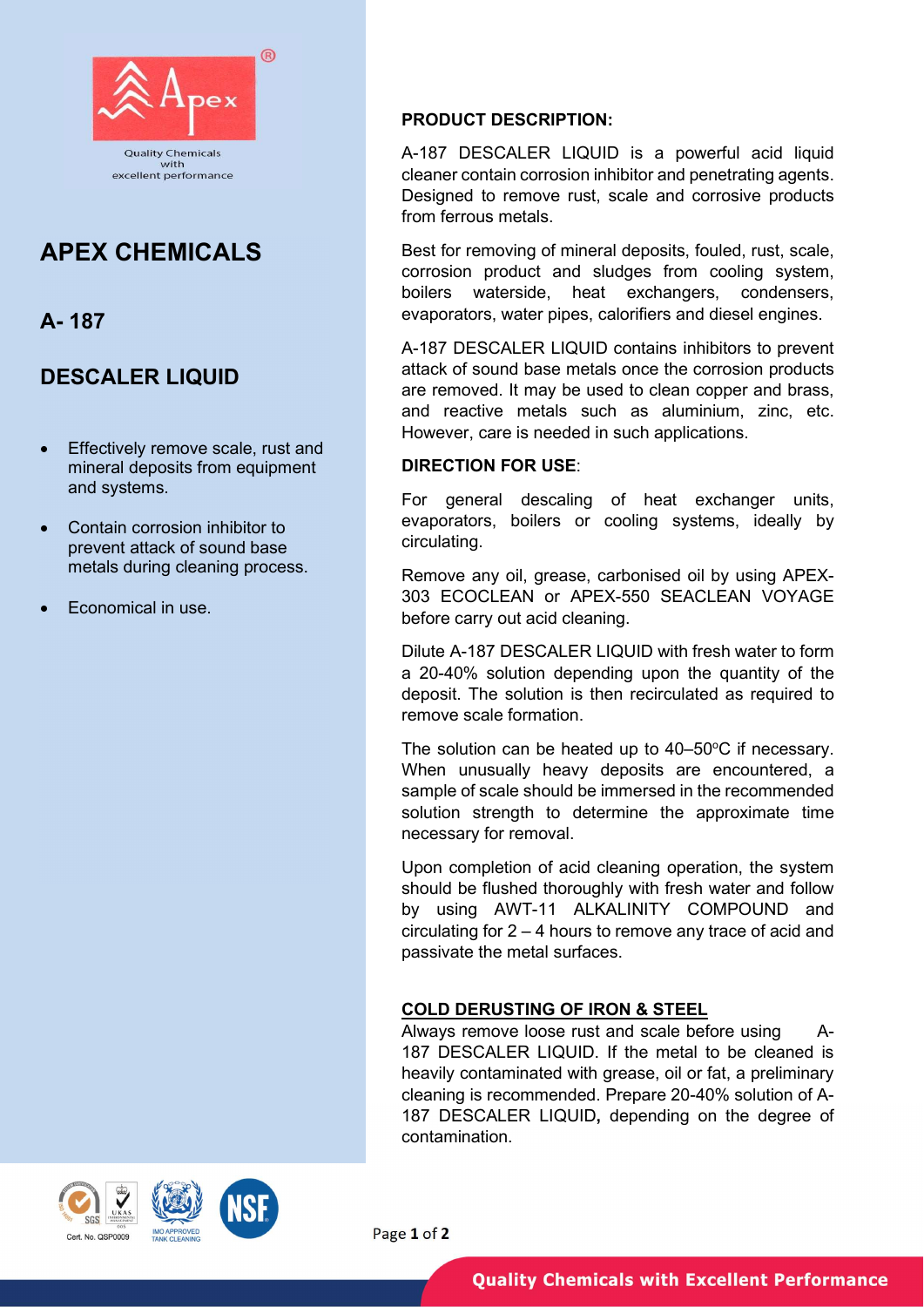

# APEX CHEMICALS

A- 187

## DESCALER LIQUID

- **Effectively remove scale, rust and** mineral deposits from equipment and systems.
- Contain corrosion inhibitor to prevent attack of sound base metals during cleaning process.
- Economical in use.

## PRODUCT DESCRIPTION:

A-187 DESCALER LIQUID is a powerful acid liquid cleaner contain corrosion inhibitor and penetrating agents. Designed to remove rust, scale and corrosive products from ferrous metals.

Best for removing of mineral deposits, fouled, rust, scale, corrosion product and sludges from cooling system, boilers waterside, heat exchangers, condensers, evaporators, water pipes, calorifiers and diesel engines.

A-187 DESCALER LIQUID contains inhibitors to prevent attack of sound base metals once the corrosion products are removed. It may be used to clean copper and brass, and reactive metals such as aluminium, zinc, etc. However, care is needed in such applications.

## DIRECTION FOR USE:

For general descaling of heat exchanger units, evaporators, boilers or cooling systems, ideally by circulating.

Remove any oil, grease, carbonised oil by using APEX-303 ECOCLEAN or APEX-550 SEACLEAN VOYAGE before carry out acid cleaning.

Dilute A-187 DESCALER LIQUID with fresh water to form a 20-40% solution depending upon the quantity of the deposit. The solution is then recirculated as required to remove scale formation.

The solution can be heated up to  $40-50^{\circ}$ C if necessary. When unusually heavy deposits are encountered, a sample of scale should be immersed in the recommended solution strength to determine the approximate time necessary for removal.

Upon completion of acid cleaning operation, the system should be flushed thoroughly with fresh water and follow by using AWT-11 ALKALINITY COMPOUND and circulating for 2 – 4 hours to remove any trace of acid and passivate the metal surfaces.

## COLD DERUSTING OF IRON & STEEL

Always remove loose rust and scale before using A-187 DESCALER LIQUID. If the metal to be cleaned is heavily contaminated with grease, oil or fat, a preliminary cleaning is recommended. Prepare 20-40% solution of A-187 DESCALER LIQUID, depending on the degree of contamination.